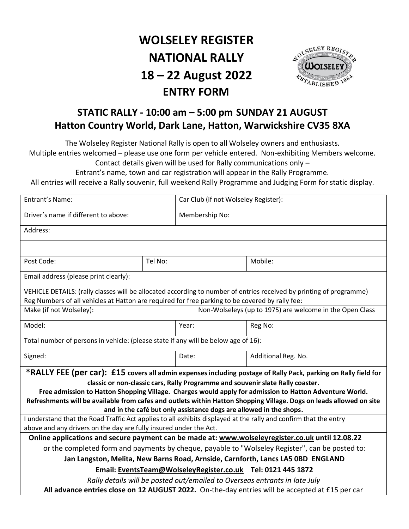# **WOLSELEY REGISTER NATIONAL RALLY 18 – 22 August 2022 ENTRY FORM**



## **STATIC RALLY - 10:00 am – 5:00 pm SUNDAY 21 AUGUST Hatton Country World, Dark Lane, Hatton, Warwickshire CV35 8XA**

The Wolseley Register National Rally is open to all Wolseley owners and enthusiasts.

Multiple entries welcomed – please use one form per vehicle entered. Non-exhibiting Members welcome. Contact details given will be used for Rally communications only –

Entrant's name, town and car registration will appear in the Rally Programme.

All entries will receive a Rally souvenir, full weekend Rally Programme and Judging Form for static display.

| Entrant's Name:                                                                                                                                                                        |         |                | Car Club (if not Wolseley Register):                                                                                |  |  |  |
|----------------------------------------------------------------------------------------------------------------------------------------------------------------------------------------|---------|----------------|---------------------------------------------------------------------------------------------------------------------|--|--|--|
| Driver's name if different to above:                                                                                                                                                   |         | Membership No: |                                                                                                                     |  |  |  |
| Address:                                                                                                                                                                               |         |                |                                                                                                                     |  |  |  |
|                                                                                                                                                                                        |         |                |                                                                                                                     |  |  |  |
| Post Code:                                                                                                                                                                             | Tel No: |                | Mobile:                                                                                                             |  |  |  |
| Email address (please print clearly):                                                                                                                                                  |         |                |                                                                                                                     |  |  |  |
|                                                                                                                                                                                        |         |                | VEHICLE DETAILS: (rally classes will be allocated according to number of entries received by printing of programme) |  |  |  |
| Reg Numbers of all vehicles at Hatton are required for free parking to be covered by rally fee:                                                                                        |         |                |                                                                                                                     |  |  |  |
| Make (if not Wolseley):<br>Non-Wolseleys (up to 1975) are welcome in the Open Class                                                                                                    |         |                |                                                                                                                     |  |  |  |
| Model:                                                                                                                                                                                 |         | Year:          | Reg No:                                                                                                             |  |  |  |
| Total number of persons in vehicle: (please state if any will be below age of 16):                                                                                                     |         |                |                                                                                                                     |  |  |  |
| Signed:                                                                                                                                                                                |         | Date:          | Additional Reg. No.                                                                                                 |  |  |  |
| *RALLY FEE (per car): £15 covers all admin expenses including postage of Rally Pack, parking on Rally field for                                                                        |         |                |                                                                                                                     |  |  |  |
|                                                                                                                                                                                        |         |                | classic or non-classic cars, Rally Programme and souvenir slate Rally coaster.                                      |  |  |  |
| Free admission to Hatton Shopping Village. Charges would apply for admission to Hatton Adventure World.                                                                                |         |                |                                                                                                                     |  |  |  |
| Refreshments will be available from cafes and outlets within Hatton Shopping Village. Dogs on leads allowed on site                                                                    |         |                |                                                                                                                     |  |  |  |
| and in the café but only assistance dogs are allowed in the shops.<br>I understand that the Road Traffic Act applies to all exhibits displayed at the rally and confirm that the entry |         |                |                                                                                                                     |  |  |  |
| above and any drivers on the day are fully insured under the Act.                                                                                                                      |         |                |                                                                                                                     |  |  |  |
| Online applications and secure payment can be made at: www.wolseleyregister.co.uk until 12.08.22                                                                                       |         |                |                                                                                                                     |  |  |  |
| or the completed form and payments by cheque, payable to "Wolseley Register", can be posted to:                                                                                        |         |                |                                                                                                                     |  |  |  |
| Jan Langston, Melita, New Barns Road, Arnside, Carnforth, Lancs LA5 0BD ENGLAND                                                                                                        |         |                |                                                                                                                     |  |  |  |
| Email: EventsTeam@WolseleyRegister.co.uk Tel: 0121 445 1872                                                                                                                            |         |                |                                                                                                                     |  |  |  |
| Rally details will be posted out/emailed to Overseas entrants in late July                                                                                                             |         |                |                                                                                                                     |  |  |  |
| All advance entries close on 12 AUGUST 2022. On-the-day entries will be accepted at £15 per car                                                                                        |         |                |                                                                                                                     |  |  |  |